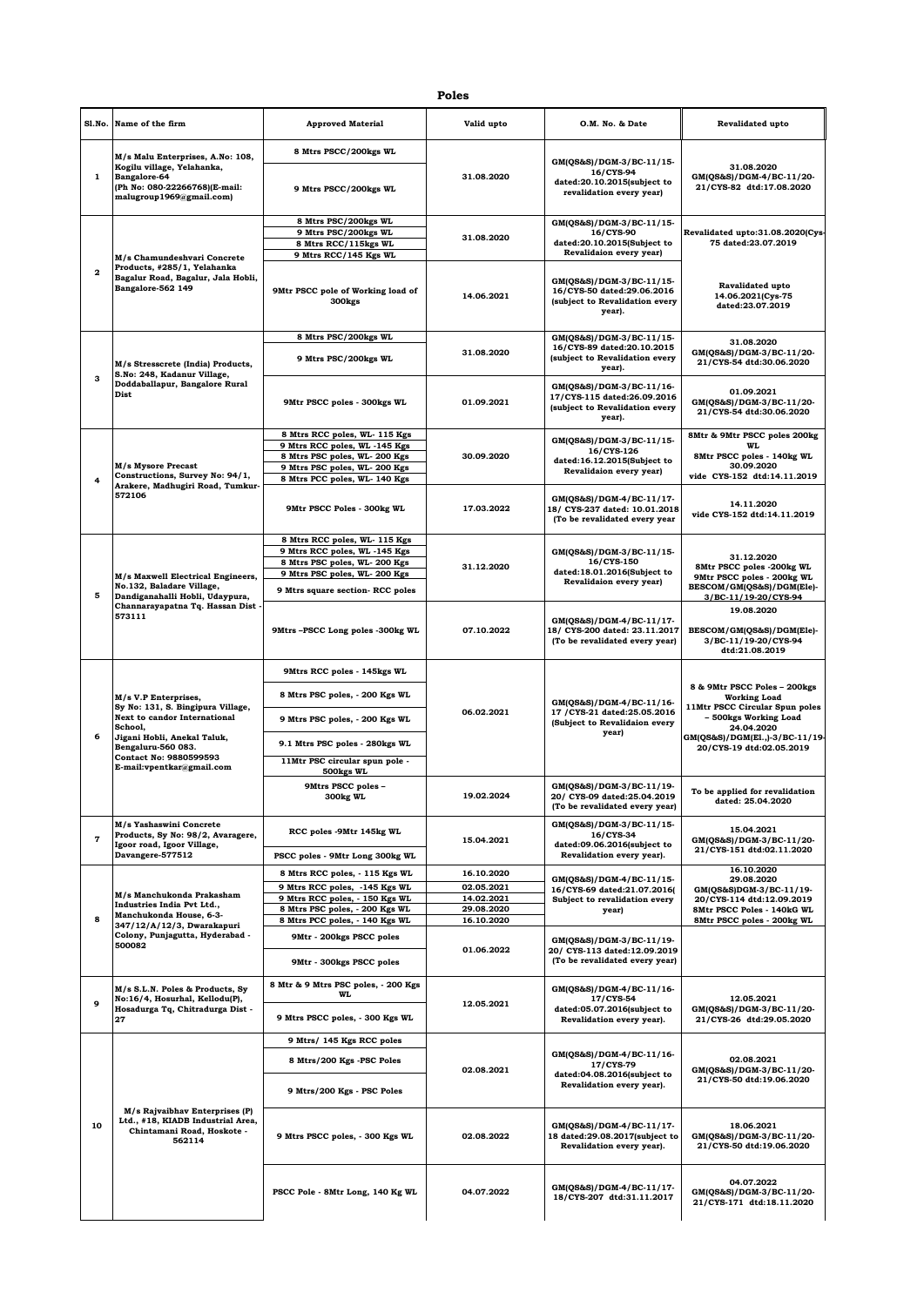## **Poles**

|              | Sl.No. Name of the firm                                                                                                                                                                                                        | <b>Approved Material</b>                                                                                                                                        | Valid upto               | O.M. No. & Date                                                                                     | Revalidated upto                                                                                                           |
|--------------|--------------------------------------------------------------------------------------------------------------------------------------------------------------------------------------------------------------------------------|-----------------------------------------------------------------------------------------------------------------------------------------------------------------|--------------------------|-----------------------------------------------------------------------------------------------------|----------------------------------------------------------------------------------------------------------------------------|
| 1            | M/s Malu Enterprises, A.No: 108,                                                                                                                                                                                               | 8 Mtrs PSCC/200kgs WL                                                                                                                                           |                          |                                                                                                     |                                                                                                                            |
|              | Kogilu village, Yelahanka,<br>Bangalore-64<br>(Ph No: 080-22266768)(E-mail:<br>malugroup1969@gmail.com)                                                                                                                        | 9 Mtrs PSCC/200kgs WL                                                                                                                                           | 31.08.2020               | GM(QS&S)/DGM-3/BC-11/15-<br>16/CYS-94<br>dated:20.10.2015(subject to<br>revalidation every year)    | 31.08.2020<br>GM(QS&S)/DGM-4/BC-11/20-<br>21/CYS-82 dtd:17.08.2020                                                         |
|              | M/s Chamundeshvari Concrete<br>Products, #285/1, Yelahanka<br>$\overline{\mathbf{2}}$<br>Bagalur Road, Bagalur, Jala Hobli,<br>Bangalore-562 149                                                                               | 8 Mtrs PSC/200kgs WL                                                                                                                                            |                          | GM(QS&S)/DGM-3/BC-11/15-                                                                            |                                                                                                                            |
|              |                                                                                                                                                                                                                                | 9 Mtrs PSC/200kgs WL<br>8 Mtrs RCC/115kgs WL                                                                                                                    | 31.08.2020               | 16/CYS-90<br>dated:20.10.2015(Subject to                                                            | Revalidated upto:31.08.2020(Cys-<br>75 dated:23.07.2019                                                                    |
|              |                                                                                                                                                                                                                                | 9 Mtrs RCC/145 Kgs WL                                                                                                                                           |                          | Revalidaion every year)                                                                             |                                                                                                                            |
|              |                                                                                                                                                                                                                                | 9Mtr PSCC pole of Working load of<br>300 <sub>kgs</sub>                                                                                                         | 14.06.2021               | GM(QS&S)/DGM-3/BC-11/15-<br>16/CYS-50 dated:29.06.2016<br>(subject to Revalidation every<br>year).  | <b>Ravalidated upto</b><br>14.06.2021(Cys-75<br>dated:23.07.2019                                                           |
|              |                                                                                                                                                                                                                                | 8 Mtrs PSC/200kgs WL                                                                                                                                            |                          | GM(QS&S)/DGM-3/BC-11/15-                                                                            | 31.08.2020                                                                                                                 |
|              | M/s Stresscrete (India) Products,<br>S.No: 248, Kadanur Village,                                                                                                                                                               | 9 Mtrs PSC/200kgs WL                                                                                                                                            | 31.08.2020               | 16/CYS-89 dated:20.10.2015<br>(subject to Revalidation every<br>year).                              | GM(QS&S)/DGM-3/BC-11/20-<br>21/CYS-54 dtd:30.06.2020                                                                       |
| з            | Doddaballapur, Bangalore Rural<br>Dist                                                                                                                                                                                         | 9Mtr PSCC poles - 300kgs WL                                                                                                                                     | 01.09.2021               | GM(QS&S)/DGM-3/BC-11/16-<br>17/CYS-115 dated:26.09.2016<br>(subject to Revalidation every<br>year). | 01.09.2021<br>GM(QS&S)/DGM-3/BC-11/20-<br>21/CYS-54 dtd:30.06.2020                                                         |
| 4            | M/s Mysore Precast<br>Constructions, Survey No: 94/1,                                                                                                                                                                          | 8 Mtrs RCC poles, WL- 115 Kgs<br>9 Mtrs RCC poles, WL -145 Kgs<br>8 Mtrs PSC poles, WL-200 Kgs<br>9 Mtrs PSC poles, WL-200 Kgs<br>8 Mtrs PCC poles, WL- 140 Kgs | 30.09.2020               | GM(QS&S)/DGM-3/BC-11/15-<br>16/CYS-126<br>dated:16.12.2015(Subject to<br>Revalidaion every year)    | 8Mtr & 9Mtr PSCC poles 200kg<br>WL.<br>8Mtr PSCC poles - 140kg WL<br>30.09.2020<br>vide CYS-152 dtd:14.11.2019             |
|              | Arakere, Madhugiri Road, Tumkur-<br>572106                                                                                                                                                                                     | 9Mtr PSCC Poles - 300kg WL                                                                                                                                      | 17.03.2022               | GM(QS&S)/DGM-4/BC-11/17-<br>18/ CYS-237 dated: 10.01.2018<br>(To be revalidated every year          | 14.11.2020<br>vide CYS-152 dtd:14.11.2019                                                                                  |
|              |                                                                                                                                                                                                                                | 8 Mtrs RCC poles, WL- 115 Kgs<br>9 Mtrs RCC poles, WL -145 Kgs<br>8 Mtrs PSC poles, WL-200 Kgs                                                                  | 31.12.2020               | GM(QS&S)/DGM-3/BC-11/15-<br>16/CYS-150<br>dated:18.01.2016(Subject to<br>Revalidaion every year)    | 31.12.2020<br>8Mtr PSCC poles -200kg WL<br>9Mtr PSCC poles - 200kg WL<br>BESCOM/GM(QS&S)/DGM(Ele)-<br>3/BC-11/19-20/CYS-94 |
|              | M/s Maxwell Electrical Engineers,<br>No.132, Baladare Village,                                                                                                                                                                 | 9 Mtrs PSC poles, WL-200 Kgs                                                                                                                                    |                          |                                                                                                     |                                                                                                                            |
| 5            | Dandiganahalli Hobli, Udaypura,                                                                                                                                                                                                | 9 Mtrs square section- RCC poles                                                                                                                                |                          |                                                                                                     |                                                                                                                            |
|              | Channarayapatna Tq. Hassan Dist -<br>573111                                                                                                                                                                                    | 9Mtrs-PSCC Long poles -300kg WL                                                                                                                                 | 07.10.2022               | GM(QS&S)/DGM-4/BC-11/17-<br>18/ CYS-200 dated: 23.11.2017<br>(To be revalidated every year)         | 19.08.2020<br>BESCOM/GM(QS&S)/DGM(Ele)-<br>3/BC-11/19-20/CYS-94<br>dtd:21.08.2019                                          |
|              | M/s V.P Enterprises,<br>Sy No: 131, S. Bingipura Village,<br><b>Next to candor International</b><br>School,<br>Jigani Hobli, Anekal Taluk,<br>Bengaluru-560 083.<br><b>Contact No: 9880599593</b><br>E-mail:vpentkar@gmail.com | 9Mtrs RCC poles - 145kgs WL                                                                                                                                     | 06.02.2021               | GM(QS&S)/DGM-4/BC-11/16-<br>17 / CYS-21 dated: 25.05.2016<br>(Subject to Revalidaion every<br>year) |                                                                                                                            |
|              |                                                                                                                                                                                                                                | 8 Mtrs PSC poles, - 200 Kgs WL                                                                                                                                  |                          |                                                                                                     | 8 & 9Mtr PSCC Poles - 200kgs<br><b>Working Load</b><br>11Mtr PSCC Circular Spun poles                                      |
|              |                                                                                                                                                                                                                                | 9 Mtrs PSC poles, - 200 Kgs WL                                                                                                                                  |                          |                                                                                                     | - 500kgs Working Load<br>24.04.2020                                                                                        |
| 6            |                                                                                                                                                                                                                                | 9.1 Mtrs PSC poles - 280kgs WL                                                                                                                                  |                          |                                                                                                     | GM(QS&S)/DGM(E1.,)-3/BC-11/19-<br>20/CYS-19 dtd:02.05.2019                                                                 |
|              |                                                                                                                                                                                                                                | 11Mtr PSC circular spun pole -<br>500kgs WL                                                                                                                     |                          |                                                                                                     |                                                                                                                            |
|              |                                                                                                                                                                                                                                | 9Mtrs PSCC poles -<br>300kg WL                                                                                                                                  | 19.02.2024               | GM(QS&S)/DGM-3/BC-11/19-<br>20/ CYS-09 dated:25.04.2019<br>(To be revalidated every year)           | To be applied for revalidation<br>dated: 25.04.2020                                                                        |
| $\mathbf{7}$ | M/s Yashaswini Concrete<br>Products, Sy No: 98/2, Avaragere,<br>Igoor road, Igoor Village,                                                                                                                                     | RCC poles -9Mtr 145kg WL                                                                                                                                        | 15.04.2021               | GM(QS&S)/DGM-3/BC-11/15-<br>16/CYS-34<br>dated:09.06.2016(subject to                                | 15.04.2021<br>GM(QS&S)/DGM-3/BC-11/20-                                                                                     |
|              | Davangere-577512                                                                                                                                                                                                               | PSCC poles - 9Mtr Long 300kg WL                                                                                                                                 |                          | Revalidation every year).                                                                           | 21/CYS-151 dtd:02.11.2020                                                                                                  |
|              |                                                                                                                                                                                                                                | 8 Mtrs RCC poles, - 115 Kgs WL                                                                                                                                  | 16.10.2020               | GM(QS&S)/DGM-4/BC-11/15-                                                                            | 16.10.2020<br>29.08.2020                                                                                                   |
|              | M/s Manchukonda Prakasham<br>Industries India Pvt Ltd.,<br>Manchukonda House, 6-3-                                                                                                                                             | 9 Mtrs RCC poles, -145 Kgs WL<br>9 Mtrs RCC poles, - 150 Kgs WL                                                                                                 | 02.05.2021<br>14.02.2021 | 16/CYS-69 dated:21.07.2016(<br>Subject to revalidation every                                        | GM(QS&S)DGM-3/BC-11/19-<br>20/CYS-114 dtd:12.09.2019<br>8Mtr PSCC Poles - 140kG WL                                         |
|              |                                                                                                                                                                                                                                | 8 Mtrs PSC poles, - 200 Kgs WL                                                                                                                                  | 29.08.2020               | year)                                                                                               |                                                                                                                            |
| 8            | 347/12/A/12/3, Dwarakapuri<br>Colony, Punjagutta, Hyderabad -                                                                                                                                                                  | 8 Mtrs PCC poles, - 140 Kgs WL<br>9Mtr - 200kgs PSCC poles                                                                                                      | 16.10.2020<br>01.06.2022 |                                                                                                     | 8Mtr PSCC poles - 200kg WL                                                                                                 |
|              | 500082                                                                                                                                                                                                                         | 9Mtr - 300kgs PSCC poles                                                                                                                                        |                          | GM(QS&S)/DGM-3/BC-11/19-<br>20/ CYS-113 dated:12.09.2019<br>(To be revalidated every year)          |                                                                                                                            |
|              | M/s S.L.N. Poles & Products, Sy<br>No:16/4, Hosurhal, Kellodu(P),<br>Hosadurga Tq, Chitradurga Dist -<br>27                                                                                                                    | 8 Mtr & 9 Mtrs PSC poles, - 200 Kgs<br>WL.                                                                                                                      |                          | GM(QS&S)/DGM-4/BC-11/16-                                                                            |                                                                                                                            |
| 9            |                                                                                                                                                                                                                                | 9 Mtrs PSCC poles, - 300 Kgs WL                                                                                                                                 | 12.05.2021               | 17/CYS-54<br>dated:05.07.2016(subject to<br>Revalidation every year).                               | 12.05.2021<br>GM(QS&S)/DGM-3/BC-11/20-<br>21/CYS-26 dtd:29.05.2020                                                         |
| 10           | M/s Rajvaibhav Enterprises (P)<br>Ltd., #18, KIADB Industrial Area,<br>Chintamani Road, Hoskote -<br>562114                                                                                                                    | 9 Mtrs/ 145 Kgs RCC poles                                                                                                                                       | 02.08.2021               | GM(QS&S)/DGM-4/BC-11/16-<br>17/CYS-79<br>dated:04.08.2016(subject to<br>Revalidation every year).   |                                                                                                                            |
|              |                                                                                                                                                                                                                                | 8 Mtrs/200 Kgs -PSC Poles                                                                                                                                       |                          |                                                                                                     | 02.08.2021                                                                                                                 |
|              |                                                                                                                                                                                                                                | 9 Mtrs/200 Kgs - PSC Poles                                                                                                                                      |                          |                                                                                                     | GM(QS&S)/DGM-3/BC-11/20-<br>21/CYS-50 dtd:19.06.2020                                                                       |
|              |                                                                                                                                                                                                                                | 9 Mtrs PSCC poles, - 300 Kgs WL                                                                                                                                 | 02.08.2022               | GM(QS&S)/DGM-4/BC-11/17-<br>18 dated:29.08.2017(subject to<br>Revalidation every year).             | 18.06.2021<br>GM(QS&S)/DGM-3/BC-11/20-<br>21/CYS-50 dtd:19.06.2020                                                         |
|              |                                                                                                                                                                                                                                | PSCC Pole - 8Mtr Long, 140 Kg WL                                                                                                                                | 04.07.2022               | GM(QS&S)/DGM-4/BC-11/17-<br>18/CYS-207 dtd:31.11.2017                                               | 04.07.2022<br>GM(QS&S)/DGM-3/BC-11/20-<br>21/CYS-171 dtd:18.11.2020                                                        |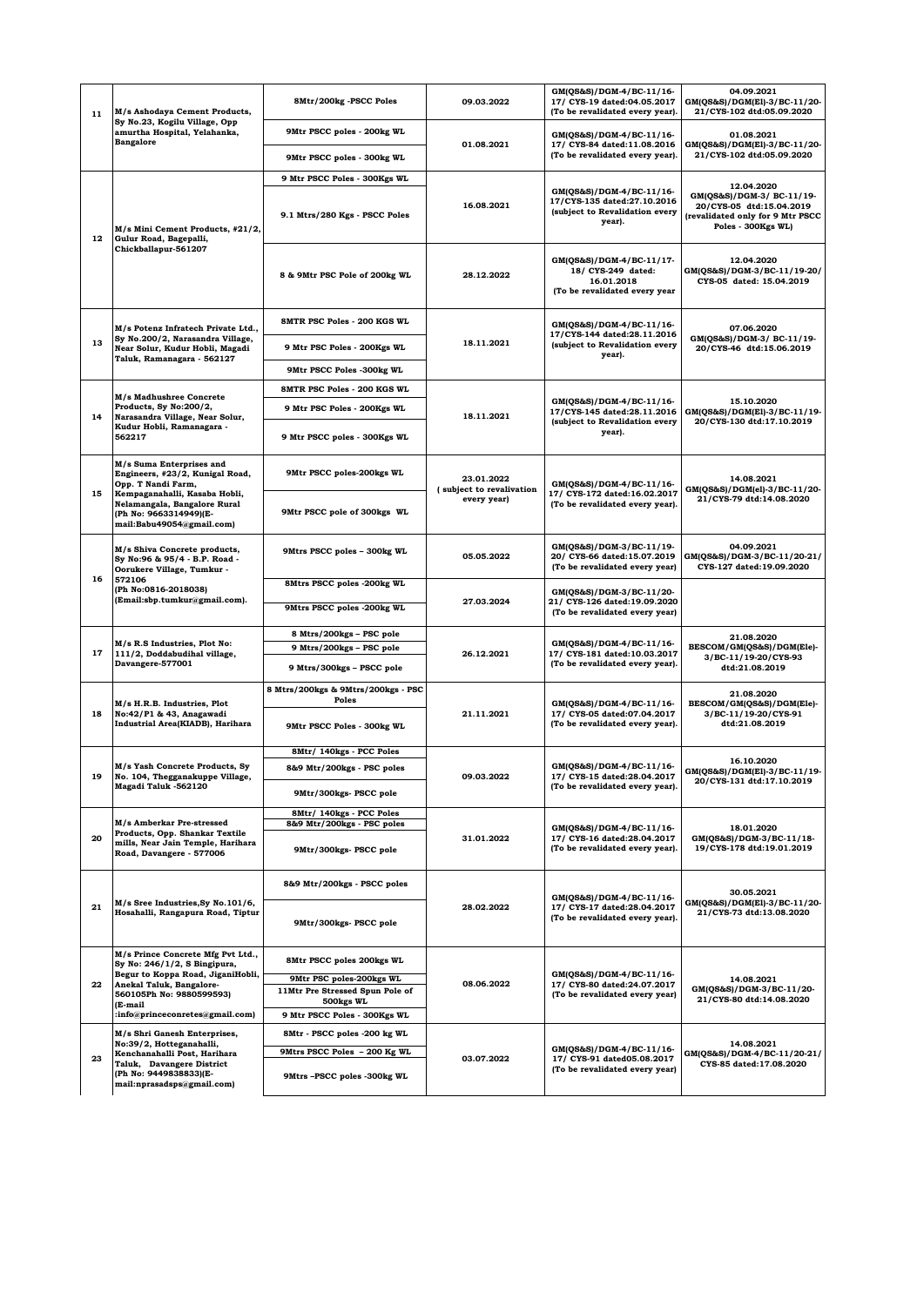| 11 | M/s Ashodaya Cement Products,<br>Sy No.23, Kogilu Village, Opp<br>amurtha Hospital, Yelahanka,<br><b>Bangalore</b>                                                        | 8Mtr/200kg -PSCC Poles                                                   | 09.03.2022                             | GM(QS&S)/DGM-4/BC-11/16-<br>17/ CYS-19 dated:04.05.2017<br>(To be revalidated every year).          | 04.09.2021<br>GM(QS&S)/DGM(El)-3/BC-11/20-<br>21/CYS-102 dtd:05.09.2020                                         |
|----|---------------------------------------------------------------------------------------------------------------------------------------------------------------------------|--------------------------------------------------------------------------|----------------------------------------|-----------------------------------------------------------------------------------------------------|-----------------------------------------------------------------------------------------------------------------|
|    |                                                                                                                                                                           | 9Mtr PSCC poles - 200kg WL                                               |                                        | GM(QS&S)/DGM-4/BC-11/16-                                                                            | 01.08.2021                                                                                                      |
|    |                                                                                                                                                                           | 9Mtr PSCC poles - 300kg WL                                               | 01.08.2021                             | 17/ CYS-84 dated:11.08.2016<br>(To be revalidated every year).                                      | GM(QS&S)/DGM(El)-3/BC-11/20-<br>21/CYS-102 dtd:05.09.2020                                                       |
|    | M/s Mini Cement Products, #21/2,<br>Gulur Road, Bagepalli,                                                                                                                | 9 Mtr PSCC Poles - 300Kgs WL                                             |                                        |                                                                                                     | 12.04.2020                                                                                                      |
| 12 |                                                                                                                                                                           | 9.1 Mtrs/280 Kgs - PSCC Poles                                            | 16.08.2021                             | GM(QS&S)/DGM-4/BC-11/16-<br>17/CYS-135 dated:27.10.2016<br>(subject to Revalidation every<br>year). | GM(QS&S)/DGM-3/ BC-11/19-<br>20/CYS-05 dtd:15.04.2019<br>(revalidated only for 9 Mtr PSCC<br>Poles - 300Kgs WL) |
|    | Chickballapur-561207                                                                                                                                                      | 8 & 9Mtr PSC Pole of 200kg WL                                            | 28.12.2022                             | GM(QS&S)/DGM-4/BC-11/17-<br>18/ CYS-249 dated:<br>16.01.2018<br>(To be revalidated every year       | 12.04.2020<br>GM(QS&S)/DGM-3/BC-11/19-20/<br>CYS-05 dated: 15.04.2019                                           |
|    | M/s Potenz Infratech Private Ltd.,                                                                                                                                        | <b>SMTR PSC Poles - 200 KGS WL</b>                                       | 18.11.2021                             | GM(QS&S)/DGM-4/BC-11/16-<br>17/CYS-144 dated:28.11.2016<br>(subject to Revalidation every<br>year). | 07.06.2020<br>GM(QS&S)/DGM-3/ BC-11/19-<br>20/CYS-46 dtd:15.06.2019                                             |
| 13 | Sy No.200/2, Narasandra Village,<br>Near Solur, Kudur Hobli, Magadi                                                                                                       | 9 Mtr PSC Poles - 200Kgs WL                                              |                                        |                                                                                                     |                                                                                                                 |
|    | Taluk, Ramanagara - 562127                                                                                                                                                | 9Mtr PSCC Poles -300kg WL                                                |                                        |                                                                                                     |                                                                                                                 |
|    |                                                                                                                                                                           | <b>SMTR PSC Poles - 200 KGS WL</b>                                       |                                        |                                                                                                     |                                                                                                                 |
|    | M/s Madhushree Concrete<br>Products, Sy No:200/2,                                                                                                                         | 9 Mtr PSC Poles - 200Kgs WL                                              |                                        | GM(QS&S)/DGM-4/BC-11/16-<br>17/CYS-145 dated:28.11.2016                                             | 15.10.2020                                                                                                      |
| 14 | Narasandra Village, Near Solur,<br>Kudur Hobli, Ramanagara -<br>562217                                                                                                    | 9 Mtr PSCC poles - 300Kgs WL                                             | 18.11.2021                             | (subject to Revalidation every<br>year).                                                            | GM(QS&S)/DGM(El)-3/BC-11/19-<br>20/CYS-130 dtd:17.10.2019                                                       |
| 15 | M/s Suma Enterprises and<br>Engineers, #23/2, Kunigal Road,<br>Opp. T Nandi Farm,                                                                                         | 9Mtr PSCC poles-200kgs WL                                                | 23.01.2022<br>(subject to revalivation | GM(QS&S)/DGM-4/BC-11/16-                                                                            | 14.08.2021<br>GM(QS&S)/DGM(el)-3/BC-11/20-                                                                      |
|    | Kempaganahalli, Kasaba Hobli,<br>Nelamangala, Bangalore Rural<br>(Ph No: 9663314949)(E-<br>mail:Babu49054@gmail.com)                                                      | 9Mtr PSCC pole of 300kgs WL                                              | every year)                            | 17/ CYS-172 dated:16.02.2017<br>(To be revalidated every year).                                     | 21/CYS-79 dtd:14.08.2020                                                                                        |
|    | M/s Shiva Concrete products,<br>Sy No:96 & 95/4 - B.P. Road -<br>Oorukere Village, Tumkur -<br>572106<br>(Ph No:0816-2018038)<br>(Email:sbp.tumkur@gmail.com).            | 9Mtrs PSCC poles - 300kg WL                                              | 05.05.2022                             | GM(QS&S)/DGM-3/BC-11/19-<br>20/ CYS-66 dated:15.07.2019<br>(To be revalidated every year)           | 04.09.2021<br>GM(QS&S)/DGM-3/BC-11/20-21/<br>CYS-127 dated:19.09.2020                                           |
| 16 |                                                                                                                                                                           | 8Mtrs PSCC poles -200kg WL                                               | 27.03.2024                             | GM(QS&S)/DGM-3/BC-11/20-<br>21/ CYS-126 dated:19.09.2020<br>(To be revalidated every year)          |                                                                                                                 |
|    |                                                                                                                                                                           | 9Mtrs PSCC poles -200kg WL                                               |                                        |                                                                                                     |                                                                                                                 |
|    | M/s R.S Industries, Plot No:<br>111/2, Doddabudihal village,                                                                                                              | 8 Mtrs/200kgs - PSC pole                                                 |                                        | GM(QS&S)/DGM-4/BC-11/16-<br>17/ CYS-181 dated:10.03.2017<br>(To be revalidated every year).         |                                                                                                                 |
| 17 |                                                                                                                                                                           | 9 Mtrs/200kgs - PSC pole                                                 | 26.12.2021                             |                                                                                                     | 21.08.2020<br>BESCOM/GM(QS&S)/DGM(Ele)-                                                                         |
|    | Davangere-577001                                                                                                                                                          | 9 Mtrs/300kgs - PSCC pole                                                |                                        |                                                                                                     | 3/BC-11/19-20/CYS-93<br>dtd:21.08.2019                                                                          |
|    | M/s H.R.B. Industries, Plot<br>No:42/P1 & 43, Anagawadi<br>Industrial Area(KIADB), Harihara                                                                               | 8 Mtrs/200kgs & 9Mtrs/200kgs - PSC<br>Poles                              | 21.11.2021                             | GM(QS&S)/DGM-4/BC-11/16-<br>17/ CYS-05 dated:07.04.2017<br>(To be revalidated every year).          | 21.08.2020<br>BESCOM/GM(QS&S)/DGM(Ele)-                                                                         |
| 18 |                                                                                                                                                                           | 9Mtr PSCC Poles - 300kg WL                                               |                                        |                                                                                                     | 3/BC-11/19-20/CYS-91<br>dtd:21.08.2019                                                                          |
|    | M/s Yash Concrete Products, Sy<br>No. 104, Thegganakuppe Village,<br>Magadi Taluk -562120                                                                                 | 8Mtr/ 140kgs - PCC Poles                                                 | 09.03.2022                             | GM(QS&S)/DGM-4/BC-11/16-<br>17/ CYS-15 dated:28.04.2017<br>(To be revalidated every year).          | 16.10.2020<br>GM(QS&S)/DGM(El)-3/BC-11/19-<br>20/CYS-131 dtd:17.10.2019                                         |
| 19 |                                                                                                                                                                           | 8&9 Mtr/200kgs - PSC poles                                               |                                        |                                                                                                     |                                                                                                                 |
|    |                                                                                                                                                                           | 9Mtr/300kgs- PSCC pole                                                   |                                        |                                                                                                     |                                                                                                                 |
|    | M/s Amberkar Pre-stressed<br>Products, Opp. Shankar Textile<br>mills, Near Jain Temple, Harihara<br>Road, Davangere - 577006                                              | 8Mtr/ 140kgs - PCC Poles<br>8&9 Mtr/200kgs - PSC poles                   | 31.01.2022                             | GM(QS&S)/DGM-4/BC-11/16-<br>17/ CYS-16 dated:28.04.2017<br>(To be revalidated every year).          | 18.01.2020<br>GM(QS&S)/DGM-3/BC-11/18-<br>19/CYS-178 dtd:19.01.2019                                             |
| 20 |                                                                                                                                                                           | 9Mtr/300kgs- PSCC pole                                                   |                                        |                                                                                                     |                                                                                                                 |
|    | M/s Sree Industries, Sy No. 101/6,                                                                                                                                        | 8&9 Mtr/200kgs - PSCC poles                                              |                                        | GM(QS&S)/DGM-4/BC-11/16-                                                                            | 30.05.2021<br>GM(QS&S)/DGM(El)-3/BC-11/20-                                                                      |
| 21 | Hosahalli, Rangapura Road, Tiptur                                                                                                                                         | 9Mtr/300kgs- PSCC pole                                                   | 28.02.2022                             | 17/ CYS-17 dated:28.04.2017<br>(To be revalidated every year).                                      | 21/CYS-73 dtd:13.08.2020                                                                                        |
| 22 | M/s Prince Concrete Mfg Pvt Ltd.,<br>Sy No: 246/1/2, S Bingipura,<br>Begur to Koppa Road, JiganiHobli,<br>Anekal Taluk, Bangalore-<br>560105Ph No: 9880599593)<br>(E-mail | 8Mtr PSCC poles 200kgs WL                                                | 08.06.2022                             | GM(QS&S)/DGM-4/BC-11/16-<br>17/ CYS-80 dated:24.07.2017<br>(To be revalidated every year)           |                                                                                                                 |
|    |                                                                                                                                                                           | 9Mtr PSC poles-200kgs WL<br>11Mtr Pre Stressed Spun Pole of<br>500kgs WL |                                        |                                                                                                     | 14.08.2021<br>GM(QS&S)/DGM-3/BC-11/20-<br>21/CYS-80 dtd:14.08.2020                                              |
|    | :info@princeconretes@gmail.com)                                                                                                                                           | 9 Mtr PSCC Poles - 300Kgs WL                                             |                                        |                                                                                                     |                                                                                                                 |
|    | M/s Shri Ganesh Enterprises,<br>No:39/2, Hotteganahalli,                                                                                                                  | 8Mtr - PSCC poles -200 kg WL                                             |                                        | GM(QS&S)/DGM-4/BC-11/16-<br>17/ CYS-91 dated05.08.2017<br>(To be revalidated every year)            | 14.08.2021                                                                                                      |
| 23 | Kenchanahalli Post, Harihara<br>Taluk, Davangere District<br>(Ph No: 9449838833)(E-                                                                                       | 9Mtrs PSCC Poles - 200 Kg WL<br>9Mtrs-PSCC poles -300kg WL               | 03.07.2022                             |                                                                                                     | GM(QS&S)/DGM-4/BC-11/20-21/<br>CYS-85 dated:17.08.2020                                                          |
|    | mail:nprasadsps@gmail.com)                                                                                                                                                |                                                                          |                                        |                                                                                                     |                                                                                                                 |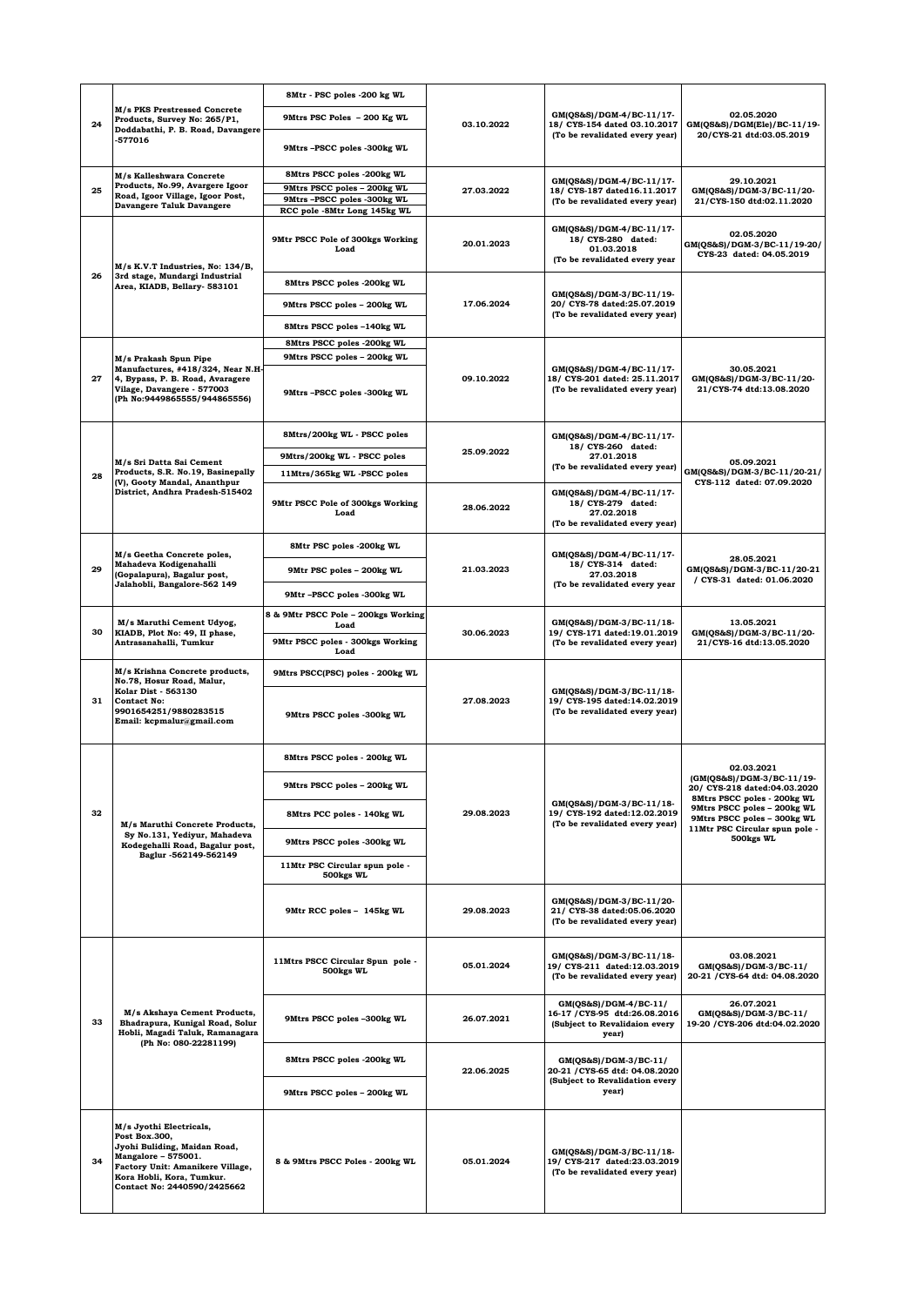|    |                                                                                                                                                                                                 | 8Mtr - PSC poles -200 kg WL                                                                                             |            |                                                                                                    |                                                                                                                                                                                                                     |
|----|-------------------------------------------------------------------------------------------------------------------------------------------------------------------------------------------------|-------------------------------------------------------------------------------------------------------------------------|------------|----------------------------------------------------------------------------------------------------|---------------------------------------------------------------------------------------------------------------------------------------------------------------------------------------------------------------------|
| 24 | M/s PKS Prestressed Concrete<br>Products, Survey No: 265/P1,<br>Doddabathi, P. B. Road, Davangere<br>577016                                                                                     | 9Mtrs PSC Poles - 200 Kg WL                                                                                             | 03.10.2022 | GM(QS&S)/DGM-4/BC-11/17-<br>18/ CYS-154 dated 03.10.2017<br>(To be revalidated every year)         | 02.05.2020<br>GM(QS&S)/DGM(Ele)/BC-11/19-                                                                                                                                                                           |
|    |                                                                                                                                                                                                 | 9Mtrs-PSCC poles -300kg WL                                                                                              |            |                                                                                                    | 20/CYS-21 dtd:03.05.2019                                                                                                                                                                                            |
| 25 | M/s Kalleshwara Concrete<br>Products, No.99, Avargere Igoor<br>Road, Igoor Village, Igoor Post,<br><b>Davangere Taluk Davangere</b>                                                             | 8Mtrs PSCC poles -200kg WL<br>9Mtrs PSCC poles - 200kg WL<br>9Mtrs-PSCC poles -300kg WL<br>RCC pole -8Mtr Long 145kg WL | 27.03.2022 | GM(QS&S)/DGM-4/BC-11/17-<br>18/ CYS-187 dated16.11.2017<br>(To be revalidated every year)          | 29.10.2021<br>GM(QS&S)/DGM-3/BC-11/20-<br>21/CYS-150 dtd:02.11.2020                                                                                                                                                 |
|    |                                                                                                                                                                                                 | 9Mtr PSCC Pole of 300kgs Working<br>Load                                                                                | 20.01.2023 | GM(QS&S)/DGM-4/BC-11/17-<br>18/ CYS-280 dated:<br>01.03.2018<br>(To be revalidated every year      | 02.05.2020<br>GM(QS&S)/DGM-3/BC-11/19-20/<br>CYS-23 dated: 04.05.2019                                                                                                                                               |
| 26 | M/s K.V.T Industries, No: 134/B,<br>3rd stage, Mundargi Industrial                                                                                                                              | 8Mtrs PSCC poles -200kg WL                                                                                              | 17.06.2024 | GM(QS&S)/DGM-3/BC-11/19-<br>20/ CYS-78 dated:25.07.2019<br>(To be revalidated every year)          |                                                                                                                                                                                                                     |
|    | Area, KIADB, Bellary- 583101                                                                                                                                                                    | 9Mtrs PSCC poles - 200kg WL                                                                                             |            |                                                                                                    |                                                                                                                                                                                                                     |
|    |                                                                                                                                                                                                 | 8Mtrs PSCC poles -140kg WL                                                                                              |            |                                                                                                    |                                                                                                                                                                                                                     |
|    |                                                                                                                                                                                                 | 8Mtrs PSCC poles -200kg WL                                                                                              |            |                                                                                                    |                                                                                                                                                                                                                     |
|    | M/s Prakash Spun Pipe                                                                                                                                                                           | 9Mtrs PSCC poles - 200kg WL                                                                                             |            |                                                                                                    |                                                                                                                                                                                                                     |
| 27 | Manufactures, #418/324, Near N.H-<br>4, Bypass, P. B. Road, Avaragere<br>Vilage, Davangere - 577003<br>(Ph No:9449865555/944865556)                                                             | 9Mtrs-PSCC poles -300kg WL                                                                                              | 09.10.2022 | GM(QS&S)/DGM-4/BC-11/17-<br>18/ CYS-201 dated: 25.11.2017<br>(To be revalidated every year)        | 30.05.2021<br>GM(QS&S)/DGM-3/BC-11/20-<br>21/CYS-74 dtd:13.08.2020                                                                                                                                                  |
|    |                                                                                                                                                                                                 | 8Mtrs/200kg WL - PSCC poles                                                                                             |            | GM(QS&S)/DGM-4/BC-11/17-<br>18/ CYS-260 dated:<br>27.01.2018                                       |                                                                                                                                                                                                                     |
|    | M/s Sri Datta Sai Cement                                                                                                                                                                        | 9Mtrs/200kg WL - PSCC poles                                                                                             | 25.09.2022 |                                                                                                    | 05.09.2021                                                                                                                                                                                                          |
| 28 | Products, S.R. No.19, Basinepally<br>(V), Gooty Mandal, Ananthpur                                                                                                                               | 11Mtrs/365kg WL -PSCC poles                                                                                             |            | (To be revalidated every year)                                                                     | GM(QS&S)/DGM-3/BC-11/20-21/<br>CYS-112 dated: 07.09.2020                                                                                                                                                            |
|    | District, Andhra Pradesh-515402                                                                                                                                                                 | 9Mtr PSCC Pole of 300kgs Working<br>Load                                                                                | 28.06.2022 | GM(QS&S)/DGM-4/BC-11/17-<br>18/ CYS-279 dated:<br>27.02.2018<br>(To be revalidated every year)     |                                                                                                                                                                                                                     |
|    | M/s Geetha Concrete poles,<br>Mahadeva Kodigenahalli<br>(Gopalapura), Bagalur post,                                                                                                             | 8Mtr PSC poles -200kg WL                                                                                                | 21.03.2023 | GM(QS&S)/DGM-4/BC-11/17-<br>18/ CYS-314 dated:<br>27.03.2018                                       |                                                                                                                                                                                                                     |
| 29 |                                                                                                                                                                                                 | 9Mtr PSC poles - 200kg WL                                                                                               |            |                                                                                                    | 28.05.2021<br>GM(QS&S)/DGM-3/BC-11/20-21<br>/ CYS-31 dated: 01.06.2020                                                                                                                                              |
|    | Jalahobli, Bangalore-562 149                                                                                                                                                                    | 9Mtr-PSCC poles -300kg WL                                                                                               |            | (To be revalidated every year                                                                      |                                                                                                                                                                                                                     |
|    | M/s Maruthi Cement Udyog,                                                                                                                                                                       | 8 & 9Mtr PSCC Pole - 200kgs Working<br>Load                                                                             |            | GM(QS&S)/DGM-3/BC-11/18-<br>19/ CYS-171 dated:19.01.2019<br>(To be revalidated every year)         | 13.05.2021                                                                                                                                                                                                          |
| 30 | KIADB, Plot No: 49, II phase,<br>Antrasanahalli, Tumkur                                                                                                                                         | 9Mtr PSCC poles - 300kgs Working<br>Load                                                                                | 30.06.2023 |                                                                                                    | GM(QS&S)/DGM-3/BC-11/20-<br>21/CYS-16 dtd:13.05.2020                                                                                                                                                                |
|    | M/s Krishna Concrete products,<br>No.78. Hosur Road. Malur.<br><b>Kolar Dist - 563130</b><br><b>Contact No:</b><br>9901654251/9880283515<br>Email: kcpmalur@gmail.com                           | 9Mtrs PSCC(PSC) poles - 200kg WL                                                                                        | 27.08.2023 | GM(QS&S)/DGM-3/BC-11/18-<br>19/ CYS-195 dated:14.02.2019<br>(To be revalidated every year)         |                                                                                                                                                                                                                     |
| 31 |                                                                                                                                                                                                 | 9Mtrs PSCC poles -300kg WL                                                                                              |            |                                                                                                    |                                                                                                                                                                                                                     |
|    |                                                                                                                                                                                                 | 8Mtrs PSCC poles - 200kg WL                                                                                             |            | GM(QS&S)/DGM-3/BC-11/18-<br>19/ CYS-192 dated:12.02.2019<br>(To be revalidated every year)         | 02.03.2021<br>(GM(QS&S)/DGM-3/BC-11/19-<br>20/ CYS-218 dated:04.03.2020<br>8Mtrs PSCC poles - 200kg WL<br>9Mtrs PSCC poles - 200kg WL<br>9Mtrs PSCC poles - 300kg WL<br>11Mtr PSC Circular spun pole -<br>500kgs WL |
|    |                                                                                                                                                                                                 | 9Mtrs PSCC poles - 200kg WL                                                                                             |            |                                                                                                    |                                                                                                                                                                                                                     |
| 32 | M/s Maruthi Concrete Products,                                                                                                                                                                  | 8Mtrs PCC poles - 140kg WL                                                                                              | 29.08.2023 |                                                                                                    |                                                                                                                                                                                                                     |
|    | Sy No.131, Yediyur, Mahadeva<br>Kodegehalli Road, Bagalur post,                                                                                                                                 | 9Mtrs PSCC poles -300kg WL                                                                                              |            |                                                                                                    |                                                                                                                                                                                                                     |
|    | Baglur -562149-562149                                                                                                                                                                           | 11Mtr PSC Circular spun pole -<br>500kgs WL                                                                             |            |                                                                                                    |                                                                                                                                                                                                                     |
|    |                                                                                                                                                                                                 | 9Mtr RCC poles - 145kg WL                                                                                               | 29.08.2023 | GM(QS&S)/DGM-3/BC-11/20-<br>21/ CYS-38 dated:05.06.2020<br>(To be revalidated every year)          |                                                                                                                                                                                                                     |
|    | M/s Akshaya Cement Products,<br>Bhadrapura, Kunigal Road, Solur<br>Hobli, Magadi Taluk, Ramanagara<br>(Ph No: 080-22281199)                                                                     | 11Mtrs PSCC Circular Spun pole -<br>500kgs WL                                                                           | 05.01.2024 | GM(QS&S)/DGM-3/BC-11/18-<br>19/ CYS-211 dated:12.03.2019<br>(To be revalidated every year)         | 03.08.2021<br>GM(QS&S)/DGM-3/BC-11/<br>20-21 / CYS-64 dtd: 04.08.2020                                                                                                                                               |
| 33 |                                                                                                                                                                                                 | 9Mtrs PSCC poles -300kg WL                                                                                              | 26.07.2021 | GM(QS&S)/DGM-4/BC-11/<br>16-17 / CYS-95 dtd:26.08.2016<br>(Subject to Revalidaion every<br>year)   | 26.07.2021<br>GM(QS&S)/DGM-3/BC-11/<br>19-20 / CYS-206 dtd:04.02.2020                                                                                                                                               |
|    |                                                                                                                                                                                                 | 8Mtrs PSCC poles -200kg WL                                                                                              | 22.06.2025 | GM(QS&S)/DGM-3/BC-11/<br>20-21 / CYS-65 dtd: 04.08.2020<br>(Subject to Revalidation every<br>year) |                                                                                                                                                                                                                     |
|    |                                                                                                                                                                                                 | 9Mtrs PSCC poles - 200kg WL                                                                                             |            |                                                                                                    |                                                                                                                                                                                                                     |
| 34 | M/s Jyothi Electricals,<br>Post Box.300,<br>Jyohi Buliding, Maidan Road,<br>Mangalore - 575001.<br>Factory Unit: Amanikere Village,<br>Kora Hobli, Kora, Tumkur.<br>Contact No: 2440590/2425662 | 8 & 9Mtrs PSCC Poles - 200kg WL                                                                                         | 05.01.2024 | GM(QS&S)/DGM-3/BC-11/18-<br>19/ CYS-217 dated:23.03.2019<br>(To be revalidated every year)         |                                                                                                                                                                                                                     |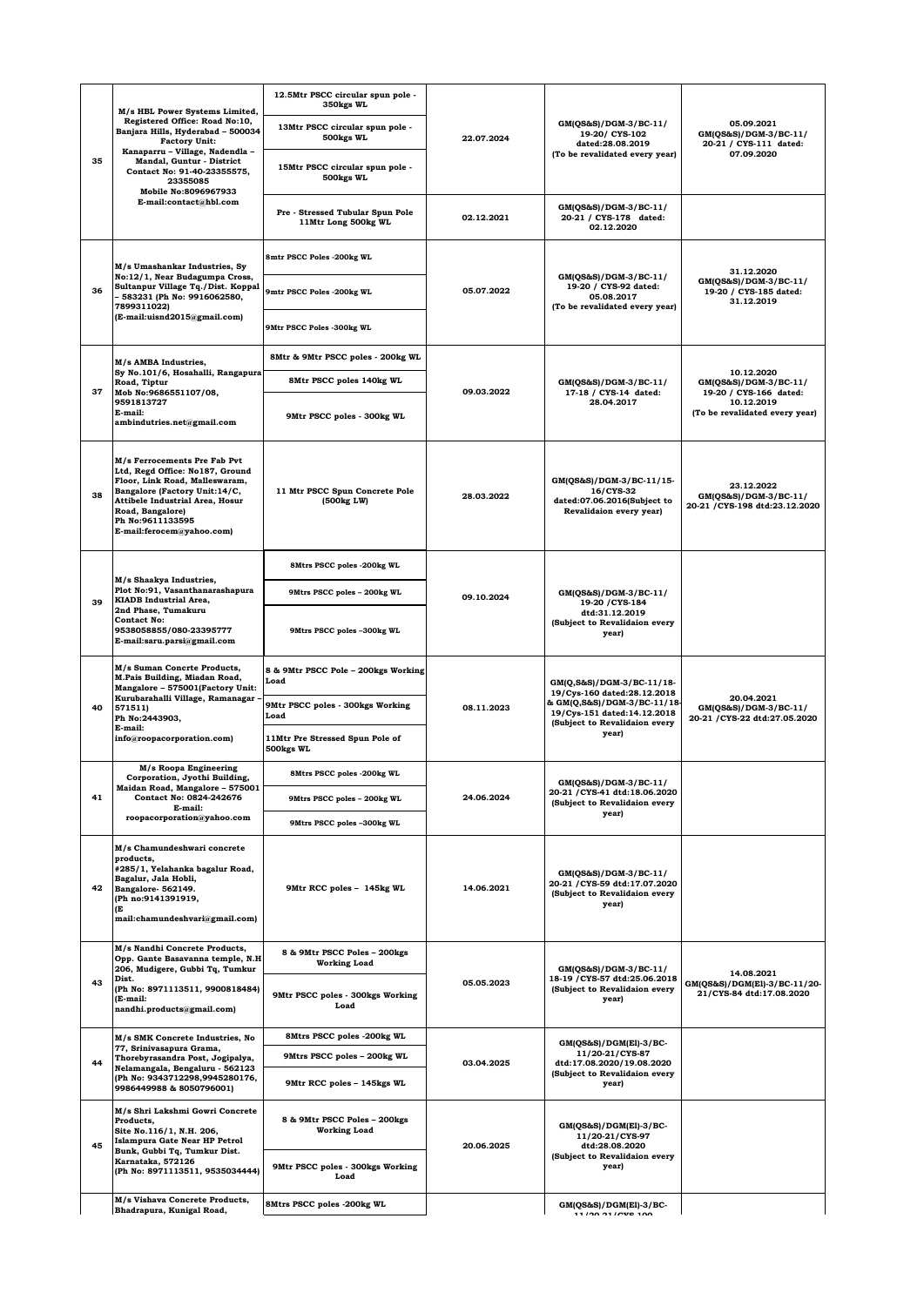|    |                                                                                                                                                                                                                                                                                                                                                                                                                                                                                                                                                       | 12.5Mtr PSCC circular spun pole -<br>350kgs WL          |            |                                                                                                                                                         |                                                                        |
|----|-------------------------------------------------------------------------------------------------------------------------------------------------------------------------------------------------------------------------------------------------------------------------------------------------------------------------------------------------------------------------------------------------------------------------------------------------------------------------------------------------------------------------------------------------------|---------------------------------------------------------|------------|---------------------------------------------------------------------------------------------------------------------------------------------------------|------------------------------------------------------------------------|
| 35 | M/s HBL Power Systems Limited,<br>Registered Office: Road No:10,<br>Banjara Hills, Hyderabad - 500034<br><b>Factory Unit:</b><br>Kanaparru - Village, Nadendla -<br>Mandal, Guntur - District<br>Contact No: 91-40-23355575,<br>23355085<br>Mobile No:8096967933<br>E-mail:contact@hbl.com<br>M/s Umashankar Industries, Sy<br>No:12/1, Near Budagumpa Cross,<br>Sultanpur Village Tq./Dist. Koppal<br>36<br>- 583231 (Ph No: 9916062580,<br>78993110221<br>(E-mail:uisnd2015@gmail.com)<br>M/s AMBA Industries,<br>Sy No.101/6, Hosahalli, Rangapura | 13Mtr PSCC circular spun pole -<br>500kgs WL            | 22.07.2024 | GM(QS&S)/DGM-3/BC-11/<br>19-20/ CYS-102<br>dated:28.08.2019                                                                                             | 05.09.2021<br>GM(QS&S)/DGM-3/BC-11/<br>20-21 / CYS-111 dated:          |
|    |                                                                                                                                                                                                                                                                                                                                                                                                                                                                                                                                                       | 15Mtr PSCC circular spun pole -<br>500kgs WL            |            | (To be revalidated every year)                                                                                                                          | 07.09.2020                                                             |
|    |                                                                                                                                                                                                                                                                                                                                                                                                                                                                                                                                                       | Pre - Stressed Tubular Spun Pole<br>11Mtr Long 500kg WL | 02.12.2021 | GM(QS&S)/DGM-3/BC-11/<br>20-21 / CYS-178 dated:<br>02.12.2020                                                                                           |                                                                        |
|    |                                                                                                                                                                                                                                                                                                                                                                                                                                                                                                                                                       | 8mtr PSCC Poles -200kg WL                               |            |                                                                                                                                                         | 31.12.2020                                                             |
|    |                                                                                                                                                                                                                                                                                                                                                                                                                                                                                                                                                       | 9mtr PSCC Poles -200kg WL                               | 05.07.2022 | GM(QS&S)/DGM-3/BC-11/<br>19-20 / CYS-92 dated:<br>05.08.2017<br>(To be revalidated every year)                                                          | GM(QS&S)/DGM-3/BC-11/<br>19-20 / CYS-185 dated:<br>31.12.2019          |
|    |                                                                                                                                                                                                                                                                                                                                                                                                                                                                                                                                                       | 9Mtr PSCC Poles -300kg WL                               |            |                                                                                                                                                         |                                                                        |
|    |                                                                                                                                                                                                                                                                                                                                                                                                                                                                                                                                                       | 8Mtr & 9Mtr PSCC poles - 200kg WL                       |            |                                                                                                                                                         | 10.12.2020                                                             |
| 37 | Road, Tiptur<br>Mob No:9686551107/08,                                                                                                                                                                                                                                                                                                                                                                                                                                                                                                                 | 8Mtr PSCC poles 140kg WL                                | 09.03.2022 | GM(QS&S)/DGM-3/BC-11/<br>17-18 / CYS-14 dated:<br>28.04.2017                                                                                            | GM(QS&S)/DGM-3/BC-11/<br>19-20 / CYS-166 dated:                        |
|    | 9591813727<br>E-mail:<br>ambindutries.net@gmail.com                                                                                                                                                                                                                                                                                                                                                                                                                                                                                                   | 9Mtr PSCC poles - 300kg WL                              |            |                                                                                                                                                         | 10.12.2019<br>(To be revalidated every year)                           |
| 38 | M/s Ferrocements Pre Fab Pvt<br>Ltd, Regd Office: No187, Ground<br>Floor, Link Road, Malleswaram,<br>Bangalore (Factory Unit:14/C,<br><b>Attibele Industrial Area, Hosur</b><br>Road, Bangalore)<br>Ph No:9611133595<br>E-mail:ferocem@yahoo.com)                                                                                                                                                                                                                                                                                                     | 11 Mtr PSCC Spun Concrete Pole<br>(500kg LW)            | 28.03.2022 | GM(QS&S)/DGM-3/BC-11/15-<br>16/CYS-32<br>dated:07.06.2016(Subject to<br>Revalidaion every year)                                                         | 23.12.2022<br>GM(QS&S)/DGM-3/BC-11/<br>20-21 / CYS-198 dtd:23.12.2020  |
|    |                                                                                                                                                                                                                                                                                                                                                                                                                                                                                                                                                       | 8Mtrs PSCC poles -200kg WL                              |            |                                                                                                                                                         |                                                                        |
| 39 | M/s Shaakya Industries,<br>Plot No:91, Vasanthanarashapura<br><b>KIADB</b> Industrial Area,<br>2nd Phase, Tumakuru<br><b>Contact No:</b><br>9538058855/080-23395777<br>E-mail:saru.parsi@gmail.com                                                                                                                                                                                                                                                                                                                                                    | 9Mtrs PSCC poles - 200kg WL                             | 09.10.2024 | GM(QS&S)/DGM-3/BC-11/<br>19-20 / CYS-184<br>dtd:31.12.2019<br>(Subject to Revalidaion every<br>year)                                                    |                                                                        |
|    |                                                                                                                                                                                                                                                                                                                                                                                                                                                                                                                                                       | 9Mtrs PSCC poles -300kg WL                              |            |                                                                                                                                                         |                                                                        |
|    | M/s Suman Concrte Products,<br>M.Pais Building, Miadan Road,<br>Mangalore - 575001(Factory Unit:<br>Kurubarahalli Village, Ramanagar<br>571511)<br>Ph No:2443903,<br>E-mail:<br>info@roopacorporation.com)<br>M/s Roopa Engineering<br>Corporation, Jyothi Building,<br>Maidan Road, Mangalore - 575001<br>Contact No: 0824-242676<br>E-mail:<br>roopacorporation@yahoo.com                                                                                                                                                                           | 8 & 9Mtr PSCC Pole - 200kgs Working<br>Load             | 08.11.2023 | GM(Q,S&S)/DGM-3/BC-11/18-<br>19/Cys-160 dated:28.12.2018<br>& GM(Q,S&S)/DGM-3/BC-11/18-<br>19/Cys-151 dated:14.12.2018<br>(Subject to Revalidaion every |                                                                        |
| 40 |                                                                                                                                                                                                                                                                                                                                                                                                                                                                                                                                                       | 9Mtr PSCC poles - 300kgs Working<br>Load                |            |                                                                                                                                                         | 20.04.2021<br>GM(QS&S)/DGM-3/BC-11/<br>20-21 / CYS-22 dtd:27.05.2020   |
|    |                                                                                                                                                                                                                                                                                                                                                                                                                                                                                                                                                       | 11Mtr Pre Stressed Spun Pole of<br>500kgs WL            |            | year)                                                                                                                                                   |                                                                        |
|    |                                                                                                                                                                                                                                                                                                                                                                                                                                                                                                                                                       | 8Mtrs PSCC poles -200kg WL                              |            | GM(QS&S)/DGM-3/BC-11/                                                                                                                                   |                                                                        |
| 41 |                                                                                                                                                                                                                                                                                                                                                                                                                                                                                                                                                       | 9Mtrs PSCC poles - 200kg WL                             | 24.06.2024 | 20-21 / CYS-41 dtd:18.06.2020<br>(Subject to Revalidaion every<br>year)                                                                                 |                                                                        |
|    |                                                                                                                                                                                                                                                                                                                                                                                                                                                                                                                                                       | 9Mtrs PSCC poles -300kg WL                              |            |                                                                                                                                                         |                                                                        |
| 42 | M/s Chamundeshwari concrete<br>products,<br>#285/1, Yelahanka bagalur Road,<br>Bagalur, Jala Hobli,<br>Bangalore-562149.<br>(Ph no:9141391919,<br>(E<br>mail:chamundeshvari@gmail.com)                                                                                                                                                                                                                                                                                                                                                                | 9Mtr RCC poles - 145kg WL                               | 14.06.2021 | GM(QS&S)/DGM-3/BC-11/<br>20-21 / CYS-59 dtd:17.07.2020<br>(Subject to Revalidaion every<br>year)                                                        |                                                                        |
|    | M/s Nandhi Concrete Products,<br>Opp. Gante Basavanna temple, N.H<br>206, Mudigere, Gubbi Tq, Tumkur                                                                                                                                                                                                                                                                                                                                                                                                                                                  | 8 & 9Mtr PSCC Poles - 200kgs<br><b>Working Load</b>     |            | GM(QS&S)/DGM-3/BC-11/                                                                                                                                   |                                                                        |
| 43 | Dist.<br>(Ph No: 8971113511, 9900818484)<br>(E-mail:<br>nandhi.products@gmail.com)                                                                                                                                                                                                                                                                                                                                                                                                                                                                    | 9Mtr PSCC poles - 300kgs Working<br>Load                | 05.05.2023 | 18-19 / CYS-57 dtd:25.06.2018<br>(Subject to Revalidaion every<br>year)                                                                                 | 14.08.2021<br>GM(QS&S)/DGM(El)-3/BC-11/20-<br>21/CYS-84 dtd:17.08.2020 |
| 44 | M/s SMK Concrete Industries, No<br>77, Srinivasapura Grama,<br>Thorebyrasandra Post, Jogipalya,<br>Nelamangala, Bengaluru - 562123<br>(Ph No: 9343712298,9945280176,<br>9986449988 & 8050796001)                                                                                                                                                                                                                                                                                                                                                      | 8Mtrs PSCC poles -200kg WL                              | 03.04.2025 | $GM(QS&S)/DGM(EI)-3/BC-$<br>11/20-21/CYS-87<br>dtd:17.08.2020/19.08.2020                                                                                |                                                                        |
|    |                                                                                                                                                                                                                                                                                                                                                                                                                                                                                                                                                       | 9Mtrs PSCC poles - 200kg WL                             |            |                                                                                                                                                         |                                                                        |
|    |                                                                                                                                                                                                                                                                                                                                                                                                                                                                                                                                                       | 9Mtr RCC poles - 145kgs WL                              |            | (Subject to Revalidaion every<br>year)                                                                                                                  |                                                                        |
| 45 | M/s Shri Lakshmi Gowri Concrete<br>Products,<br>Site No.116/1, N.H. 206,<br>Islampura Gate Near HP Petrol<br>Bunk, Gubbi Tq, Tumkur Dist.<br>Karnataka, 572126<br>(Ph No: 8971113511, 9535034444)                                                                                                                                                                                                                                                                                                                                                     | 8 & 9Mtr PSCC Poles - 200kgs<br><b>Working Load</b>     | 20.06.2025 | $GM(QS&S)/DGM(E1)-3/BC-$<br>11/20-21/CYS-97<br>dtd:28.08.2020<br>(Subject to Revalidaion every                                                          |                                                                        |
|    |                                                                                                                                                                                                                                                                                                                                                                                                                                                                                                                                                       | 9Mtr PSCC poles - 300kgs Working<br>Load                |            | year)                                                                                                                                                   |                                                                        |
|    | M/s Vishava Concrete Products,<br>Bhadrapura, Kunigal Road,                                                                                                                                                                                                                                                                                                                                                                                                                                                                                           | 8Mtrs PSCC poles -200kg WL                              |            | $GM(QS&S)/DGM(E1)-3/BC$ -<br>11/20.21/0VS.100                                                                                                           |                                                                        |